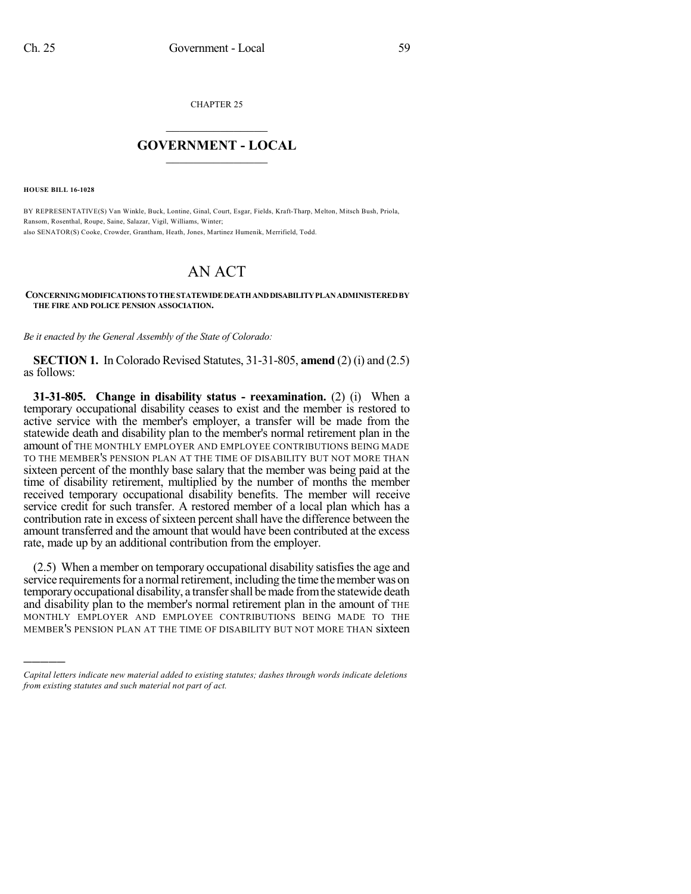CHAPTER 25

## $\overline{\phantom{a}}$  . The set of the set of the set of the set of the set of the set of the set of the set of the set of the set of the set of the set of the set of the set of the set of the set of the set of the set of the set o **GOVERNMENT - LOCAL**  $\_$

**HOUSE BILL 16-1028**

)))))

BY REPRESENTATIVE(S) Van Winkle, Buck, Lontine, Ginal, Court, Esgar, Fields, Kraft-Tharp, Melton, Mitsch Bush, Priola, Ransom, Rosenthal, Roupe, Saine, Salazar, Vigil, Williams, Winter; also SENATOR(S) Cooke, Crowder, Grantham, Heath, Jones, Martinez Humenik, Merrifield, Todd.

## AN ACT

**CONCERNINGMODIFICATIONS TOTHESTATEWIDEDEATHANDDISABILITYPLANADMINISTEREDBY THE FIRE AND POLICE PENSION ASSOCIATION.**

*Be it enacted by the General Assembly of the State of Colorado:*

**SECTION 1.** In Colorado Revised Statutes, 31-31-805, **amend** (2) (i) and (2.5) as follows:

**31-31-805. Change in disability status - reexamination.** (2) (i) When a temporary occupational disability ceases to exist and the member is restored to active service with the member's employer, a transfer will be made from the statewide death and disability plan to the member's normal retirement plan in the amount of THE MONTHLY EMPLOYER AND EMPLOYEE CONTRIBUTIONS BEING MADE TO THE MEMBER'S PENSION PLAN AT THE TIME OF DISABILITY BUT NOT MORE THAN sixteen percent of the monthly base salary that the member was being paid at the time of disability retirement, multiplied by the number of months the member received temporary occupational disability benefits. The member will receive service credit for such transfer. A restored member of a local plan which has a contribution rate in excess of sixteen percent shall have the difference between the amount transferred and the amount that would have been contributed at the excess rate, made up by an additional contribution from the employer.

 $(2.5)$  When a member on temporary occupational disability satisfies the age and service requirements for a normal retirement, including the time the member was on temporaryoccupational disability, a transfershall be made fromthe statewide death and disability plan to the member's normal retirement plan in the amount of THE MONTHLY EMPLOYER AND EMPLOYEE CONTRIBUTIONS BEING MADE TO THE MEMBER'S PENSION PLAN AT THE TIME OF DISABILITY BUT NOT MORE THAN sixteen

*Capital letters indicate new material added to existing statutes; dashes through words indicate deletions from existing statutes and such material not part of act.*